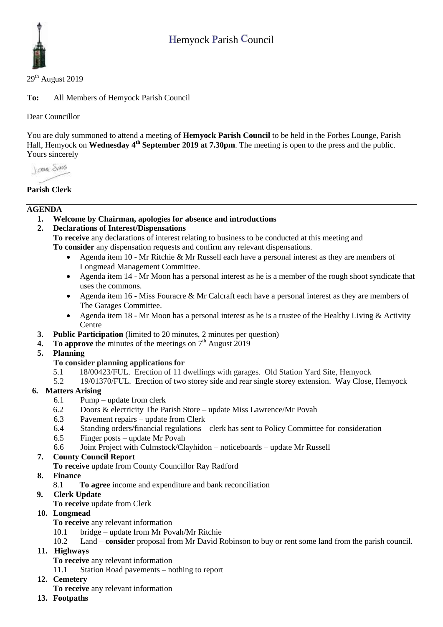

 $29<sup>th</sup>$  August 2019

**To:** All Members of Hemyock Parish Council

Dear Councillor

You are duly summoned to attend a meeting of **Hemyock Parish Council** to be held in the Forbes Lounge, Parish Hall, Hemyock on Wednesday 4<sup>th</sup> September 2019 at 7.30pm. The meeting is open to the press and the public. Yours sincerely

**Lower Shans** 

# **Parish Clerk**

#### **AGENDA**

- **1. Welcome by Chairman, apologies for absence and introductions**
- **2. Declarations of Interest/Dispensations**

**To receive** any declarations of interest relating to business to be conducted at this meeting and **To consider** any dispensation requests and confirm any relevant dispensations.

- Agenda item 10 Mr Ritchie & Mr Russell each have a personal interest as they are members of Longmead Management Committee.
- Agenda item 14 Mr Moon has a personal interest as he is a member of the rough shoot syndicate that uses the commons.
- Agenda item 16 Miss Fouracre & Mr Calcraft each have a personal interest as they are members of The Garages Committee.
- Agenda item 18 Mr Moon has a personal interest as he is a trustee of the Healthy Living & Activity **Centre**
- **3. Public Participation** (limited to 20 minutes, 2 minutes per question)
- **4.** To approve the minutes of the meetings on  $7<sup>th</sup>$  August 2019
- **5. Planning**
	- **To consider planning applications for**
	- 5.1 18/00423/FUL. Erection of 11 dwellings with garages. Old Station Yard Site, Hemyock
	- 5.2 19/01370/FUL. Erection of two storey side and rear single storey extension. Way Close, Hemyock

# **6. Matters Arising**

- 6.1 Pump update from clerk
- 6.2 Doors & electricity The Parish Store update Miss Lawrence/Mr Povah
- 6.3 Pavement repairs update from Clerk
- 6.4 Standing orders/financial regulations clerk has sent to Policy Committee for consideration
- 6.5 Finger posts update Mr Povah
- 6.6 Joint Project with Culmstock/Clayhidon noticeboards update Mr Russell

# **7. County Council Report**

- **To receive** update from County Councillor Ray Radford
- **8. Finance** 
	- 8.1 **To agree** income and expenditure and bank reconciliation
- **9. Clerk Update** 
	- **To receive** update from Clerk
- **10. Longmead**
	- **To receive** any relevant information
	- 10.1 bridge update from Mr Povah/Mr Ritchie
	- 10.2 Land **consider** proposal from Mr David Robinson to buy or rent some land from the parish council.
- **11. Highways** 
	- **To receive** any relevant information
	- 11.1 Station Road pavements nothing to report
- **12. Cemetery** 
	- **To receive** any relevant information
- **13. Footpaths**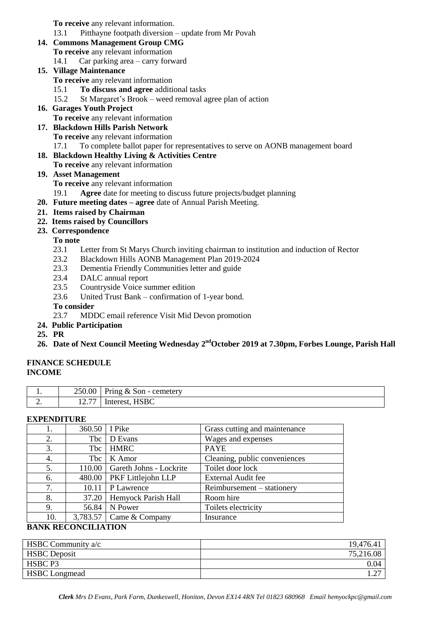**To receive** any relevant information.

- 13.1 Pitthayne footpath diversion update from Mr Povah
- **14. Commons Management Group CMG**
	- **To receive** any relevant information
	- 14.1 Car parking area carry forward

## **15. Village Maintenance**

**To receive** any relevant information

- 15.1 **To discuss and agree** additional tasks
- 15.2 St Margaret's Brook weed removal agree plan of action
- **16. Garages Youth Project**

**To receive** any relevant information

- **17. Blackdown Hills Parish Network To receive** any relevant information
	- 17.1 To complete ballot paper for representatives to serve on AONB management board
- **18. Blackdown Healthy Living & Activities Centre**
	- **To receive** any relevant information

# **19. Asset Management**

**To receive** any relevant information

- 19.1 **Agree** date for meeting to discuss future projects/budget planning
- **20. Future meeting dates – agree** date of Annual Parish Meeting.
- **21. Items raised by Chairman**
- **22. Items raised by Councillors**
- **23. Correspondence**

## **To note**

- 23.1 Letter from St Marys Church inviting chairman to institution and induction of Rector
- 23.2 Blackdown Hills AONB Management Plan 2019-2024
- 23.3 Dementia Friendly Communities letter and guide
- 23.4 DALC annual report
- 23.5 Countryside Voice summer edition
- 23.6 United Trust Bank confirmation of 1-year bond.

## **To consider**

23.7 MDDC email reference Visit Mid Devon promotion

- **24. Public Participation**
- **25. PR**

# **26. Date of Next Council Meeting Wednesday 2 ndOctober 2019 at 7.30pm, Forbes Lounge, Parish Hall**

#### **FINANCE SCHEDULE INCOME**

| . .      | 250.00  | Pring $\&$ Son - cemetery |
|----------|---------|---------------------------|
| <u>.</u> | $1/2$ . | <b>HSBC</b><br>Interest   |

#### **EXPENDITURE**

| 1.  | 360.50     | I Pike                          | Grass cutting and maintenance |
|-----|------------|---------------------------------|-------------------------------|
| 2.  | Tbc        | D Evans                         | Wages and expenses            |
| 3.  | Tbc        | <b>HMRC</b>                     | <b>PAYE</b>                   |
| 4.  | <b>Tbc</b> | K Amor                          | Cleaning, public conveniences |
| 5.  | 110.00     | Gareth Johns - Lockrite         | Toilet door lock              |
| 6.  | 480.00     | <b>PKF</b> Littlejohn LLP       | External Audit fee            |
| 7.  | 10.11      | P Lawrence                      | Reimbursement – stationery    |
| 8.  | 37.20      | Hemyock Parish Hall             | Room hire                     |
| 9.  | 56.84      | N Power                         | Toilets electricity           |
| 10. |            | 3,783.57 $\vert$ Came & Company | Insurance                     |

# **BANK RECONCILIATION**

| HSBC Community a/c   | 19,476.41 |
|----------------------|-----------|
| <b>HSBC</b> Deposit  | 75,216.08 |
| HSBC P3              | 0.04      |
| <b>HSBC</b> Longmead | 1.∠/      |